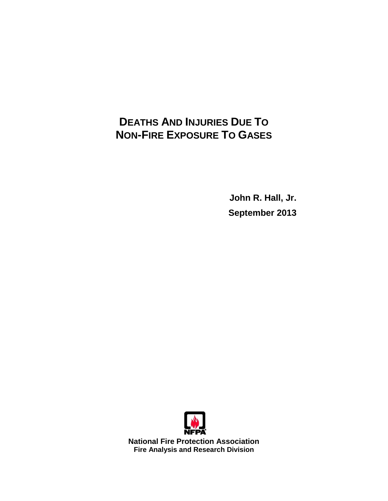# **DEATHS AND INJURIES DUE TO NON-FIRE EXPOSURE TO GASES**

**John R. Hall, Jr. September 2013**



**National Fire Protection Association Fire Analysis and Research Division**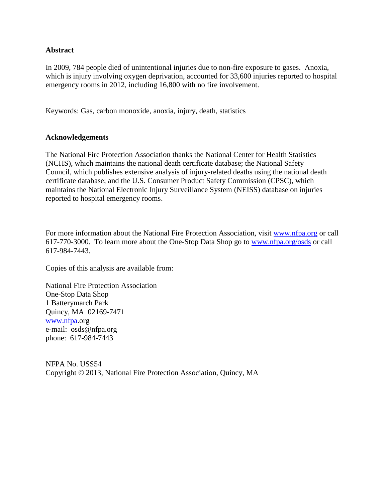#### **Abstract**

In 2009, 784 people died of unintentional injuries due to non-fire exposure to gases. Anoxia, which is injury involving oxygen deprivation, accounted for 33,600 injuries reported to hospital emergency rooms in 2012, including 16,800 with no fire involvement.

Keywords: Gas, carbon monoxide, anoxia, injury, death, statistics

#### **Acknowledgements**

The National Fire Protection Association thanks the National Center for Health Statistics (NCHS), which maintains the national death certificate database; the National Safety Council, which publishes extensive analysis of injury-related deaths using the national death certificate database; and the U.S. Consumer Product Safety Commission (CPSC), which maintains the National Electronic Injury Surveillance System (NEISS) database on injuries reported to hospital emergency rooms.

For more information about the National Fire Protection Association, visit [www.nfpa.org](http://www.nfpa.org/) or call 617-770-3000. To learn more about the One-Stop Data Shop go to [www.nfpa.org/osds](http://www.nfpa.org/osds) or call 617-984-7443.

Copies of this analysis are available from:

National Fire Protection Association One-Stop Data Shop 1 Batterymarch Park Quincy, MA 02169-7471 [www.nfpa.](http://www.nfpa/)org e-mail: osds@nfpa.org phone: 617-984-7443

NFPA No. USS54 Copyright © 2013, National Fire Protection Association, Quincy, MA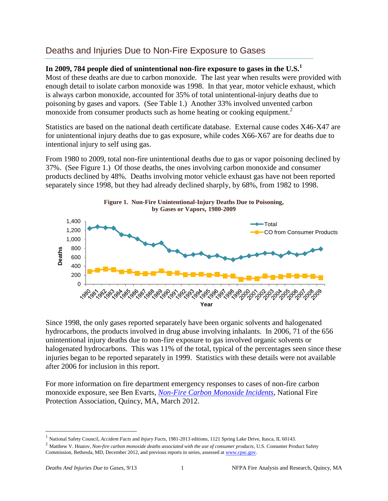## Deaths and Injuries Due to Non-Fire Exposure to Gases

## **In 2009, 784 people died of unintentional non-fire exposure to gases in the U.S.<sup>1</sup>**

Most of these deaths are due to carbon monoxide. The last year when results were provided with enough detail to isolate carbon monoxide was 1998. In that year, motor vehicle exhaust, which is always carbon monoxide, accounted for 35% of total unintentional-injury deaths due to poisoning by gases and vapors. (See Table 1.) Another 33% involved unvented carbon monoxide from consumer products such as home heating or cooking equipment.<sup>2</sup>

Statistics are based on the national death certificate database. External cause codes X46-X47 are for unintentional injury deaths due to gas exposure, while codes X66-X67 are for deaths due to intentional injury to self using gas.

From 1980 to 2009, total non-fire unintentional deaths due to gas or vapor poisoning declined by 37%. (See Figure 1.) Of those deaths, the ones involving carbon monoxide and consumer products declined by 48%. Deaths involving motor vehicle exhaust gas have not been reported separately since 1998, but they had already declined sharply, by 68%, from 1982 to 1998.



Since 1998, the only gases reported separately have been organic solvents and halogenated hydrocarbons, the products involved in drug abuse involving inhalants. In 2006, 71 of the 656 unintentional injury deaths due to non-fire exposure to gas involved organic solvents or halogenated hydrocarbons. This was 11% of the total, typical of the percentages seen since these injuries began to be reported separately in 1999. Statistics with these details were not available after 2006 for inclusion in this report.

For more information on fire department emergency responses to cases of non-fire carbon monoxide exposure, see Ben Evarts, *[Non-Fire Carbon Monoxide Incidents](http://www.nfpa.org/research/statistical-reports/non-fire-incidents/carbon-monoxide-incidents)*, National Fire Protection Association, Quincy, MA, March 2012.

<sup>1</sup> National Safety Council, *Accident Facts* and *Injury Facts*, 1981-2013 editions, 1121 Spring Lake Drive, Itasca, IL 60143.

<sup>&</sup>lt;sup>2</sup> Matthew V. Hnatov, *Non-fire carbon monoxide deaths associated with the use of consumer products*, U.S. Consumer Product Safety Commission, Bethesda, MD, December 2012, and previous reports in series, assessed a[t www.cpsc.gov.](http://www.cpsc.gov/)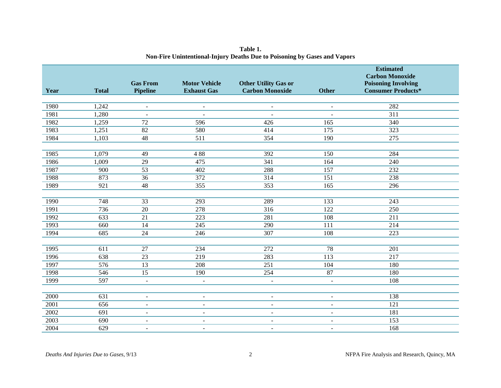| Year | <b>Total</b>     | <b>Gas From</b><br><b>Pipeline</b> | <b>Motor Vehicle</b><br><b>Exhaust Gas</b> | <b>Other Utility Gas or</b><br><b>Carbon Monoxide</b> | <b>Other</b>     | <b>Estimated</b><br><b>Carbon Monoxide</b><br><b>Poisoning Involving</b><br><b>Consumer Products*</b> |
|------|------------------|------------------------------------|--------------------------------------------|-------------------------------------------------------|------------------|-------------------------------------------------------------------------------------------------------|
| 1980 | 1,242            | $\overline{\phantom{a}}$           | $\overline{\phantom{a}}$                   | $\blacksquare$                                        | $\blacksquare$   | 282                                                                                                   |
| 1981 | 1,280            | $\omega$                           | $\sim$                                     | $\sim$                                                | $\overline{a}$   | $\overline{311}$                                                                                      |
| 1982 | 1,259            | $\overline{72}$                    | 596                                        | 426                                                   | 165              | 340                                                                                                   |
| 1983 | 1,251            | 82                                 | 580                                        | 414                                                   | 175              | 323                                                                                                   |
| 1984 | 1,103            | $\overline{48}$                    | 511                                        | 354                                                   | 190              | $\overline{275}$                                                                                      |
|      |                  |                                    |                                            |                                                       |                  |                                                                                                       |
| 1985 | 1,079            | 49                                 | 488                                        | 392                                                   | 150              | 284                                                                                                   |
| 1986 | 1,009            | $\overline{29}$                    | 475                                        | 341                                                   | 164              | 240                                                                                                   |
| 1987 | 900              | $\overline{53}$                    | 402                                        | 288                                                   | 157              | $\overline{232}$                                                                                      |
| 1988 | 873              | 36                                 | 372                                        | 314                                                   | 151              | 238                                                                                                   |
| 1989 | 921              | 48                                 | 355                                        | 353                                                   | 165              | 296                                                                                                   |
|      |                  |                                    |                                            |                                                       |                  |                                                                                                       |
| 1990 | 748              | 33                                 | 293                                        | 289                                                   | 133              | 243                                                                                                   |
| 1991 | 736              | $\overline{20}$                    | 278                                        | $\overline{316}$                                      | $\overline{122}$ | 250                                                                                                   |
| 1992 | $\overline{633}$ | $\overline{21}$                    | $\overline{223}$                           | 281                                                   | 108              | $\overline{211}$                                                                                      |
| 1993 | 660              | 14                                 | 245                                        | 290                                                   | 111              | 214                                                                                                   |
| 1994 | 685              | 24                                 | 246                                        | 307                                                   | 108              | 223                                                                                                   |
|      |                  |                                    |                                            |                                                       |                  |                                                                                                       |
| 1995 | 611              | $\overline{27}$                    | 234                                        | $\overline{272}$                                      | 78               | 201                                                                                                   |
| 1996 | 638              | $\overline{23}$                    | 219                                        | 283                                                   | $\overline{113}$ | $\overline{217}$                                                                                      |
| 1997 | 576              | $\overline{13}$                    | 208                                        | $\overline{251}$                                      | 104              | 180                                                                                                   |
| 1998 | 546              | $\overline{15}$                    | 190                                        | 254                                                   | 87               | 180                                                                                                   |
| 1999 | 597              | $\blacksquare$                     | $\sim$                                     | $\sim$                                                | $\overline{a}$   | 108                                                                                                   |
|      |                  |                                    |                                            |                                                       |                  |                                                                                                       |
| 2000 | $\overline{631}$ | $\mathbf{r}$                       | $\overline{a}$                             | $\sim$                                                | $\blacksquare$   | 138                                                                                                   |
| 2001 | 656              | $\sim$                             | $\overline{\phantom{a}}$                   | $\overline{a}$                                        | $\overline{a}$   | $\overline{121}$                                                                                      |
| 2002 | 691              | $\overline{\phantom{a}}$           | $\overline{\phantom{a}}$                   | $\overline{\phantom{a}}$                              | $\blacksquare$   | 181                                                                                                   |
| 2003 | 690              | $\sim$                             | $\blacksquare$                             | $\blacksquare$                                        | $\blacksquare$   | 153                                                                                                   |
| 2004 | 629              | $\sim$                             | $\blacksquare$                             | $\overline{a}$                                        | $\blacksquare$   | 168                                                                                                   |

**Table 1. Non-Fire Unintentional-Injury Deaths Due to Poisoning by Gases and Vapors**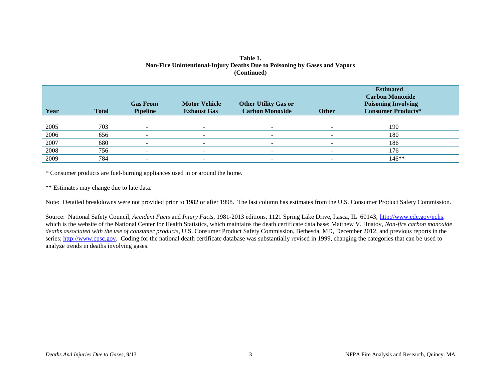| Year | <b>Total</b> | <b>Gas From</b><br><b>Pipeline</b> | <b>Motor Vehicle</b><br><b>Exhaust Gas</b> | <b>Other Utility Gas or</b><br><b>Carbon Monoxide</b> | <b>Other</b> | <b>Estimated</b><br><b>Carbon Monoxide</b><br><b>Poisoning Involving</b><br><b>Consumer Products*</b> |
|------|--------------|------------------------------------|--------------------------------------------|-------------------------------------------------------|--------------|-------------------------------------------------------------------------------------------------------|
|      |              |                                    |                                            |                                                       |              |                                                                                                       |
| 2005 | 703          |                                    |                                            |                                                       |              | 190                                                                                                   |
| 2006 | 656          |                                    | $\overline{\phantom{0}}$                   | $\overline{\phantom{0}}$                              | -            | 180                                                                                                   |
| 2007 | 680          |                                    |                                            | $\qquad \qquad \blacksquare$                          |              | 186                                                                                                   |
| 2008 | 756          |                                    |                                            | -                                                     |              | 176                                                                                                   |
| 2009 | 784          |                                    |                                            | -                                                     |              | 146**                                                                                                 |

#### **Table 1. Non-Fire Unintentional-Injury Deaths Due to Poisoning by Gases and Vapors (Continued)**

\* Consumer products are fuel-burning appliances used in or around the home.

\*\* Estimates may change due to late data.

Note: Detailed breakdowns were not provided prior to 1982 or after 1998. The last column has estimates from the U.S. Consumer Product Safety Commission.

Source: National Safety Council, *Accident Facts* and *Injury Facts*, 1981-2013 editions, 1121 Spring Lake Drive, Itasca, IL 60143; [http://www.cdc.gov/nchs,](http://www.cdc.gov/nchs) which is the website of the National Center for Health Statistics, which maintains the death certificate data base; Matthew V. Hnatov, *Non-fire carbon monoxide deaths associated with the use of consumer products*, U.S. Consumer Product Safety Commission, Bethesda, MD, December 2012, and previous reports in the series; [http://www.cpsc.gov.](http://www.cpsc.gov/) Coding for the national death certificate database was substantially revised in 1999, changing the categories that can be used to analyze trends in deaths involving gases.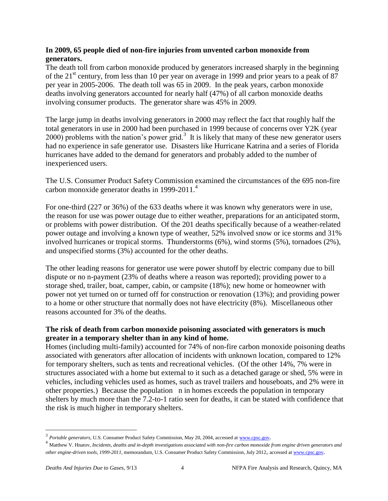## **In 2009, 65 people died of non-fire injuries from unvented carbon monoxide from generators.**

The death toll from carbon monoxide produced by generators increased sharply in the beginning of the 21<sup>st</sup> century, from less than 10 per year on average in 1999 and prior years to a peak of 87 per year in 2005-2006. The death toll was 65 in 2009. In the peak years, carbon monoxide deaths involving generators accounted for nearly half (47%) of all carbon monoxide deaths involving consumer products. The generator share was 45% in 2009.

The large jump in deaths involving generators in 2000 may reflect the fact that roughly half the total generators in use in 2000 had been purchased in 1999 because of concerns over Y2K (year  $2000$ ) problems with the nation's power grid.<sup>3</sup> It is likely that many of these new generator users had no experience in safe generator use. Disasters like Hurricane Katrina and a series of Florida hurricanes have added to the demand for generators and probably added to the number of inexperienced users.

The U.S. Consumer Product Safety Commission examined the circumstances of the 695 non-fire carbon monoxide generator deaths in 1999-2011. 4

For one-third (227 or 36%) of the 633 deaths where it was known why generators were in use, the reason for use was power outage due to either weather, preparations for an anticipated storm, or problems with power distribution. Of the 201 deaths specifically because of a weather-related power outage and involving a known type of weather, 52% involved snow or ice storms and 31% involved hurricanes or tropical storms. Thunderstorms (6%), wind storms (5%), tornadoes (2%), and unspecified storms (3%) accounted for the other deaths.

The other leading reasons for generator use were power shutoff by electric company due to bill dispute or no n-payment (23% of deaths where a reason was reported); providing power to a storage shed, trailer, boat, camper, cabin, or campsite (18%); new home or homeowner with power not yet turned on or turned off for construction or renovation (13%); and providing power to a home or other structure that normally does not have electricity (8%). Miscellaneous other reasons accounted for 3% of the deaths.

## **The risk of death from carbon monoxide poisoning associated with generators is much greater in a temporary shelter than in any kind of home.**

Homes (including multi-family) accounted for 74% of non-fire carbon monoxide poisoning deaths associated with generators after allocation of incidents with unknown location, compared to 12% for temporary shelters, such as tents and recreational vehicles. (Of the other 14%, 7% were in structures associated with a home but external to it such as a detached garage or shed, 5% were in vehicles, including vehicles used as homes, such as travel trailers and houseboats, and 2% were in other properties.) Because the population n in homes exceeds the population in temporary shelters by much more than the 7.2-to-1 ratio seen for deaths, it can be stated with confidence that the risk is much higher in temporary shelters.

<sup>&</sup>lt;sup>3</sup> Portable generators, U.S. Consumer Product Safety Commission, May 20, 2004, accessed a[t www.cpsc.gov](http://www.cpsc.gov/).

<sup>4</sup> Matthew V. Hnatov, *Incidents, deaths and in-depth investigations associated with non-fire carbon monoxide from engine driven generators and other engine-driven tools, 1999-2011*, memorandum, U.S. Consumer Product Safety Commission, July 2012, accessed a[t www.cpsc.gov](http://www.cpsc.gov/).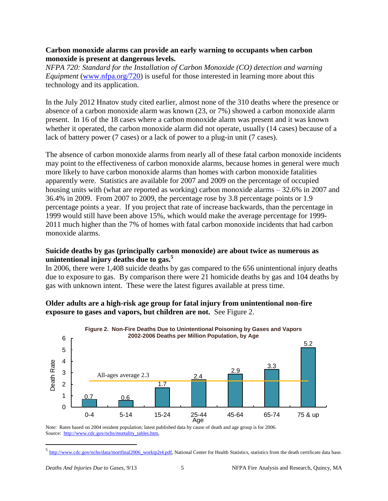#### **Carbon monoxide alarms can provide an early warning to occupants when carbon monoxide is present at dangerous levels.**

*NFPA 720: Standard for the Installation of Carbon Monoxide (CO) detection and warning Equipment* [\(www.nfpa.org/720\)](http://www.nfpa.org/720) is useful for those interested in learning more about this technology and its application.

In the July 2012 Hnatov study cited earlier, almost none of the 310 deaths where the presence or absence of a carbon monoxide alarm was known (23, or 7%) showed a carbon monoxide alarm present. In 16 of the 18 cases where a carbon monoxide alarm was present and it was known whether it operated, the carbon monoxide alarm did not operate, usually (14 cases) because of a lack of battery power (7 cases) or a lack of power to a plug-in unit (7 cases).

The absence of carbon monoxide alarms from nearly all of these fatal carbon monoxide incidents may point to the effectiveness of carbon monoxide alarms, because homes in general were much more likely to have carbon monoxide alarms than homes with carbon monoxide fatalities apparently were. Statistics are available for 2007 and 2009 on the percentage of occupied housing units with (what are reported as working) carbon monoxide alarms – 32.6% in 2007 and 36.4% in 2009. From 2007 to 2009, the percentage rose by 3.8 percentage points or 1.9 percentage points a year. If you project that rate of increase backwards, than the percentage in 1999 would still have been above 15%, which would make the average percentage for 1999- 2011 much higher than the 7% of homes with fatal carbon monoxide incidents that had carbon monoxide alarms.

## **Suicide deaths by gas (principally carbon monoxide) are about twice as numerous as unintentional injury deaths due to gas.<sup>5</sup>**

In 2006, there were 1,408 suicide deaths by gas compared to the 656 unintentional injury deaths due to exposure to gas. By comparison there were 21 homicide deaths by gas and 104 deaths by gas with unknown intent. These were the latest figures available at press time.

## **Older adults are a high-risk age group for fatal injury from unintentional non-fire exposure to gases and vapors, but children are not.** See Figure 2.



**Figure 2. Non-Fire Deaths Due to Unintentional Poisoning by Gases and Vapors** 

Note: Rates based on 2004 resident population; latest published data by cause of death and age group is for 2006. Source: [http://www.cdc.gov/nchs/mortality\\_tables.htm,](http://www.cdc.gov/nchs/mortality_tables.htm)

<sup>&</sup>lt;sup>5</sup> [http://www.cdc.gov/nchs/data/mortfinal2006\\_workip2t4.pdf,](http://www.cdc.gov/nchs/data/mortfinal2006_workip2t4.pdf) National Center for Health Statistics, statistics from the death certificate data base.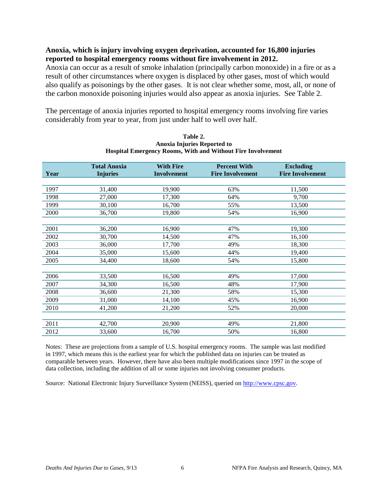#### **Anoxia, which is injury involving oxygen deprivation, accounted for 16,800 injuries reported to hospital emergency rooms without fire involvement in 2012.**

Anoxia can occur as a result of smoke inhalation (principally carbon monoxide) in a fire or as a result of other circumstances where oxygen is displaced by other gases, most of which would also qualify as poisonings by the other gases. It is not clear whether some, most, all, or none of the carbon monoxide poisoning injuries would also appear as anoxia injuries. See Table 2.

The percentage of anoxia injuries reported to hospital emergency rooms involving fire varies considerably from year to year, from just under half to well over half.

| Year | <b>Total Anoxia</b><br><b>Injuries</b> | <b>With Fire</b><br><b>Involvement</b> | <b>Percent With</b><br><b>Fire Involvement</b> | <b>Excluding</b><br><b>Fire Involvement</b> |
|------|----------------------------------------|----------------------------------------|------------------------------------------------|---------------------------------------------|
|      |                                        |                                        |                                                |                                             |
| 1997 | 31,400                                 | 19,900                                 | 63%                                            | 11,500                                      |
| 1998 | 27,000                                 | 17,300                                 | 64%                                            | 9,700                                       |
| 1999 | 30,100                                 | 16,700                                 | 55%                                            | 13,500                                      |
| 2000 | 36,700                                 | 19,800                                 | 54%                                            | 16,900                                      |
|      |                                        |                                        |                                                |                                             |
| 2001 | 36,200                                 | 16,900                                 | 47%                                            | 19,300                                      |
| 2002 | 30,700                                 | 14,500                                 | 47%                                            | 16,100                                      |
| 2003 | 36,000                                 | 17,700                                 | 49%                                            | 18,300                                      |
| 2004 | 35,000                                 | 15,600                                 | 44%                                            | 19,400                                      |
| 2005 | 34,400                                 | 18,600                                 | 54%                                            | 15,800                                      |
|      |                                        |                                        |                                                |                                             |
| 2006 | 33,500                                 | 16,500                                 | 49%                                            | 17,000                                      |
| 2007 | 34,300                                 | 16,500                                 | 48%                                            | 17,900                                      |
| 2008 | 36,600                                 | 21,300                                 | 58%                                            | 15,300                                      |
| 2009 | 31,000                                 | 14,100                                 | 45%                                            | 16,900                                      |
| 2010 | 41,200                                 | 21,200                                 | 52%                                            | 20,000                                      |
|      |                                        |                                        |                                                |                                             |
| 2011 | 42,700                                 | 20,900                                 | 49%                                            | 21,800                                      |
| 2012 | 33,600                                 | 16,700                                 | 50%                                            | 16,800                                      |

#### **Table 2. Anoxia Injuries Reported to Hospital Emergency Rooms, With and Without Fire Involvement**

Notes: These are projections from a sample of U.S. hospital emergency rooms. The sample was last modified in 1997, which means this is the earliest year for which the published data on injuries can be treated as comparable between years. However, there have also been multiple modifications since 1997 in the scope of data collection, including the addition of all or some injuries not involving consumer products.

Source: National Electronic Injury Surveillance System (NEISS), queried on [http://www.cpsc.gov.](http://www.cpsc.gov/)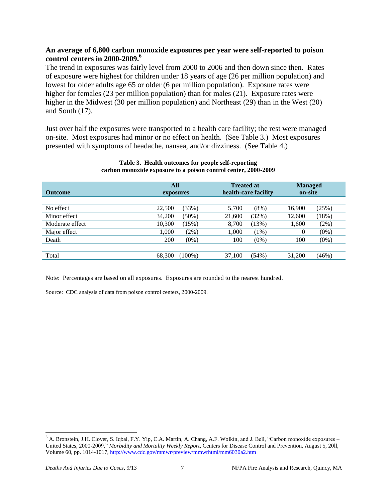#### **An average of 6,800 carbon monoxide exposures per year were self-reported to poison control centers in 2000-2009.<sup>6</sup>**

The trend in exposures was fairly level from 2000 to 2006 and then down since then. Rates of exposure were highest for children under 18 years of age (26 per million population) and lowest for older adults age 65 or older (6 per million population). Exposure rates were higher for females (23 per million population) than for males (21). Exposure rates were higher in the Midwest (30 per million population) and Northeast (29) than in the West (20) and South (17).

Just over half the exposures were transported to a health care facility; the rest were managed on-site. Most exposures had minor or no effect on health. (See Table 3.) Most exposures presented with symptoms of headache, nausea, and/or dizziness. (See Table 4.)

| <b>Outcome</b>  |        | <b>All</b><br>exposures |        | <b>Treated at</b><br>health-care facility |        | <b>Managed</b><br>on-site |
|-----------------|--------|-------------------------|--------|-------------------------------------------|--------|---------------------------|
| No effect       | 22,500 | (33%)                   | 5,700  | $(8\%)$                                   | 16,900 | (25%)                     |
| Minor effect    | 34,200 | $(50\%)$                | 21,600 | (32%)                                     | 12,600 | (18%)                     |
| Moderate effect | 10,300 | (15%)                   | 8,700  | (13%)                                     | 1,600  | (2%)                      |
| Major effect    | 1,000  | (2%)                    | 1,000  | $(1\%)$                                   | 0      | $(0\%)$                   |
| Death           | 200    | $(0\%)$                 | 100    | $(0\%)$                                   | 100    | $(0\%)$                   |
|                 |        |                         |        |                                           |        |                           |
| Total           | 68,300 | $(100\%)$               | 37,100 | (54%)                                     | 31,200 | (46%)                     |

#### **Table 3. Health outcomes for people self-reporting carbon monoxide exposure to a poison control center, 2000-2009**

Note: Percentages are based on all exposures. Exposures are rounded to the nearest hundred.

Source: CDC analysis of data from poison control centers, 2000-2009.

<sup>6</sup> A. Bronstein, J.H. Clover, S. Iqbal, F.Y. Yip, C.A. Martin, A. Chang, A.F. Wolkin, and J. Bell, "Carbon monoxide exposures – United States, 2000-2009," *Morbidity and Mortality Weekly Report*, Centers for Disease Control and Prevention, August 5, 20ll, Volume 60, pp. 1014-1017[, http://www.cdc.gov/mmwr/preview/mmwrhtml/mm6030a2.htm](http://www.cdc.gov/mmwr/preview/mmwrhtml/mm6030a2.htm)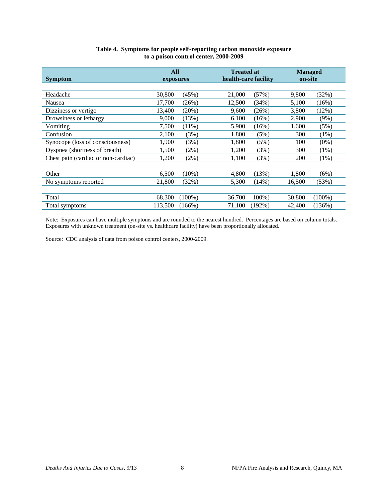| <b>Symptom</b>                      | All<br>exposures |           | <b>Treated at</b><br>health-care facility |           |        | <b>Managed</b><br>on-site |  |
|-------------------------------------|------------------|-----------|-------------------------------------------|-----------|--------|---------------------------|--|
|                                     |                  |           |                                           |           |        |                           |  |
| Headache                            | 30,800           | (45%)     | 21,000                                    | (57%)     | 9,800  | (32%)                     |  |
| Nausea                              | 17,700           | (26%)     | 12,500                                    | (34%)     | 5,100  | (16%)                     |  |
| Dizziness or vertigo                | 13,400           | $(20\%)$  | 9,600                                     | (26%)     | 3,800  | (12%)                     |  |
| Drowsiness or lethargy              | 9,000            | (13%)     | 6,100                                     | (16%)     | 2,900  | $(9\%)$                   |  |
| Vomiting                            | 7,500            | $(11\%)$  | 5,900                                     | $(16\%)$  | 1,600  | (5%)                      |  |
| Confusion                           | 2,100            | (3%)      | 1,800                                     | (5%)      | 300    | (1%)                      |  |
| Synocope (loss of consciousness)    | 1,900            | (3%)      | 1,800                                     | (5%)      | 100    | $(0\%)$                   |  |
| Dyspnea (shortness of breath)       | 1,500            | (2%)      | 1,200                                     | (3%)      | 300    | (1%)                      |  |
| Chest pain (cardiac or non-cardiac) | 1,200            | $(2\%)$   | 1,100                                     | (3%)      | 200    | $(1\%)$                   |  |
|                                     |                  |           |                                           |           |        |                           |  |
| Other                               | 6,500            | $(10\%)$  | 4,800                                     | (13%)     | 1,800  | (6%)                      |  |
| No symptoms reported                | 21,800           | (32%)     | 5,300                                     | (14%)     | 16,500 | (53%)                     |  |
|                                     |                  |           |                                           |           |        |                           |  |
| Total                               | 68,300           | $(100\%)$ | 36,700                                    | $100\%$ ) | 30,800 | $(100\%)$                 |  |
| Total symptoms                      | 113,500          | $(166\%)$ | 71,100                                    | (192%)    | 42,400 | (136%)                    |  |

#### **Table 4. Symptoms for people self-reporting carbon monoxide exposure to a poison control center, 2000-2009**

Note: Exposures can have multiple symptoms and are rounded to the nearest hundred. Percentages are based on column totals. Exposures with unknown treatment (on-site vs. healthcare facility) have been proportionally allocated.

Source: CDC analysis of data from poison control centers, 2000-2009.